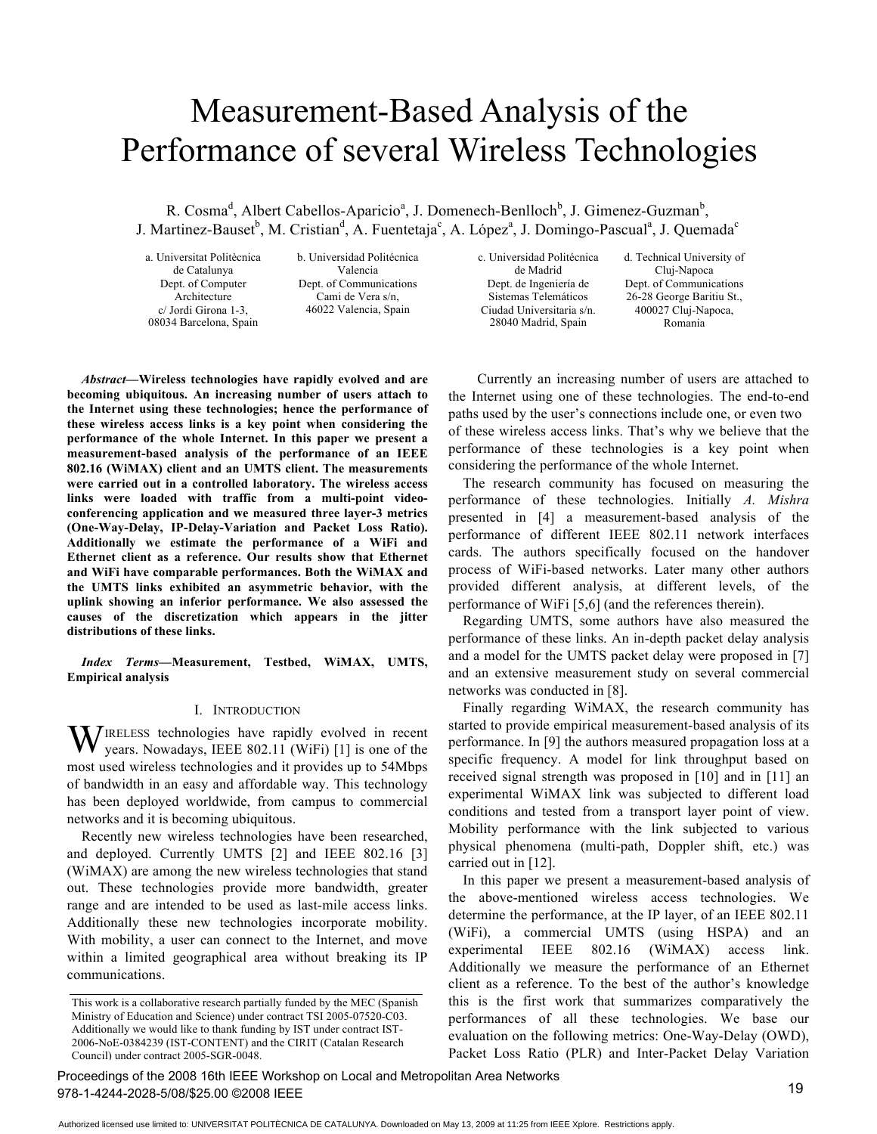# Measurement-Based Analysis of the Performance of several Wireless Technologies

R. Cosma<sup>d</sup>, Albert Cabellos-Aparicio<sup>a</sup>, J. Domenech-Benlloch<sup>b</sup>, J. Gimenez-Guzman<sup>b</sup>, J. Martinez-Bauset<sup>b</sup>, M. Cristian<sup>d</sup>, A. Fuentetaja<sup>c</sup>, A. López<sup>a</sup>, J. Domingo-Pascual<sup>a</sup>, J. Quemada<sup>c</sup>

a. Universitat Politècnica de Catalunya Dept. of Computer Architecture c/ Jordi Girona 1-3, 08034 Barcelona, Spain

b. Universidad Politécnica Valencia Dept. of Communications Cami de Vera s/n, 46022 Valencia, Spain

*Abstract***—Wireless technologies have rapidly evolved and are becoming ubiquitous. An increasing number of users attach to the Internet using these technologies; hence the performance of these wireless access links is a key point when considering the performance of the whole Internet. In this paper we present a measurement-based analysis of the performance of an IEEE 802.16 (WiMAX) client and an UMTS client. The measurements were carried out in a controlled laboratory. The wireless access links were loaded with traffic from a multi-point videoconferencing application and we measured three layer-3 metrics (One-Way-Delay, IP-Delay-Variation and Packet Loss Ratio). Additionally we estimate the performance of a WiFi and Ethernet client as a reference. Our results show that Ethernet and WiFi have comparable performances. Both the WiMAX and the UMTS links exhibited an asymmetric behavior, with the uplink showing an inferior performance. We also assessed the causes of the discretization which appears in the jitter distributions of these links.**

*Index Terms***—Measurement, Testbed, WiMAX, UMTS, Empirical analysis**

## I. INTRODUCTION

IRELESS technologies have rapidly evolved in recent WIRELESS technologies have rapidly evolved in recent years. Nowadays, IEEE 802.11 (WiFi) [1] is one of the most used wireless technologies and it provides up to 54Mbps of bandwidth in an easy and affordable way. This technology has been deployed worldwide, from campus to commercial networks and it is becoming ubiquitous.

Recently new wireless technologies have been researched, and deployed. Currently UMTS [2] and IEEE 802.16 [3] (WiMAX) are among the new wireless technologies that stand out. These technologies provide more bandwidth, greater range and are intended to be used as last-mile access links. Additionally these new technologies incorporate mobility. With mobility, a user can connect to the Internet, and move within a limited geographical area without breaking its IP communications.

c. Universidad Politécnica de Madrid Dept. de Ingeniería de Sistemas Telemáticos Ciudad Universitaria s/n. 28040 Madrid, Spain

d. Technical University of Cluj-Napoca Dept. of Communications 26-28 George Baritiu St., 400027 Cluj-Napoca, Romania

Currently an increasing number of users are attached to the Internet using one of these technologies. The end-to-end paths used by the user's connections include one, or even two of these wireless access links. That's why we believe that the performance of these technologies is a key point when considering the performance of the whole Internet.

The research community has focused on measuring the performance of these technologies. Initially *A. Mishra* presented in [4] a measurement-based analysis of the performance of different IEEE 802.11 network interfaces cards. The authors specifically focused on the handover process of WiFi-based networks. Later many other authors provided different analysis, at different levels, of the performance of WiFi [5,6] (and the references therein).

Regarding UMTS, some authors have also measured the performance of these links. An in-depth packet delay analysis and a model for the UMTS packet delay were proposed in [7] and an extensive measurement study on several commercial networks was conducted in [8].

Finally regarding WiMAX, the research community has started to provide empirical measurement-based analysis of its performance. In [9] the authors measured propagation loss at a specific frequency. A model for link throughput based on received signal strength was proposed in [10] and in [11] an experimental WiMAX link was subjected to different load conditions and tested from a transport layer point of view. Mobility performance with the link subjected to various physical phenomena (multi-path, Doppler shift, etc.) was carried out in [12].

In this paper we present a measurement-based analysis of the above-mentioned wireless access technologies. We determine the performance, at the IP layer, of an IEEE 802.11 (WiFi), a commercial UMTS (using HSPA) and an experimental IEEE 802.16 (WiMAX) access link. Additionally we measure the performance of an Ethernet client as a reference. To the best of the author's knowledge this is the first work that summarizes comparatively the performances of all these technologies. We base our evaluation on the following metrics: One-Way-Delay (OWD), Packet Loss Ratio (PLR) and Inter-Packet Delay Variation

Proceedings of the 2008 16th IEEE Workshop on Local and Metropolitan Area Networks 978-1-4244-2028-5/08/\$25.00 ©2008 IEEE

This work is a collaborative research partially funded by the MEC (Spanish Ministry of Education and Science) under contract TSI 2005-07520-C03. Additionally we would like to thank funding by IST under contract IST-2006-NoE-0384239 (IST-CONTENT) and the CIRIT (Catalan Research Council) under contract 2005-SGR-0048.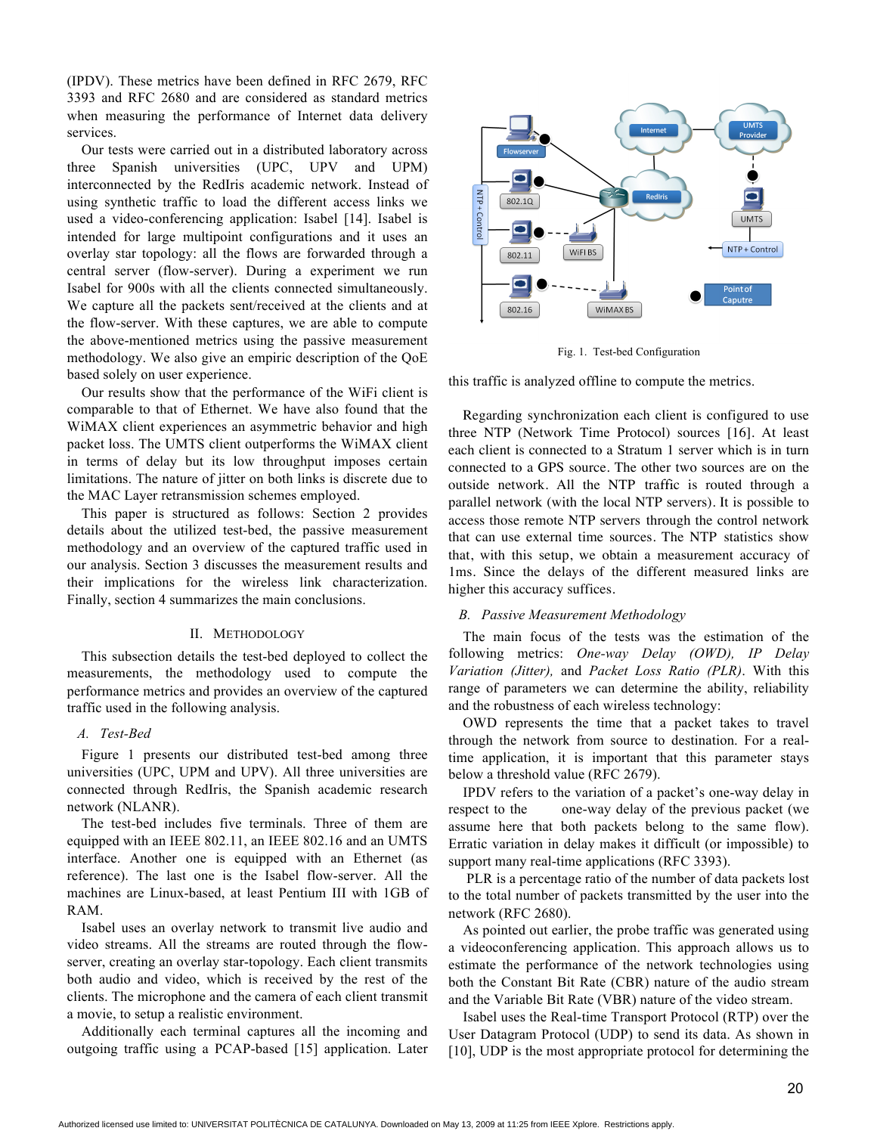(IPDV). These metrics have been defined in RFC 2679, RFC 3393 and RFC 2680 and are considered as standard metrics when measuring the performance of Internet data delivery services.

Our tests were carried out in a distributed laboratory across three Spanish universities (UPC, UPV and UPM) interconnected by the RedIris academic network. Instead of using synthetic traffic to load the different access links we used a video-conferencing application: Isabel [14]. Isabel is intended for large multipoint configurations and it uses an overlay star topology: all the flows are forwarded through a central server (flow-server). During a experiment we run Isabel for 900s with all the clients connected simultaneously. We capture all the packets sent/received at the clients and at the flow-server. With these captures, we are able to compute the above-mentioned metrics using the passive measurement methodology. We also give an empiric description of the QoE based solely on user experience.

Our results show that the performance of the WiFi client is comparable to that of Ethernet. We have also found that the WiMAX client experiences an asymmetric behavior and high packet loss. The UMTS client outperforms the WiMAX client in terms of delay but its low throughput imposes certain limitations. The nature of jitter on both links is discrete due to the MAC Layer retransmission schemes employed.

This paper is structured as follows: Section 2 provides details about the utilized test-bed, the passive measurement methodology and an overview of the captured traffic used in our analysis. Section 3 discusses the measurement results and their implications for the wireless link characterization. Finally, section 4 summarizes the main conclusions.

## II. METHODOLOGY

This subsection details the test-bed deployed to collect the measurements, the methodology used to compute the performance metrics and provides an overview of the captured traffic used in the following analysis.

# *A. Test-Bed*

Figure 1 presents our distributed test-bed among three universities (UPC, UPM and UPV). All three universities are connected through RedIris, the Spanish academic research network (NLANR).

The test-bed includes five terminals. Three of them are equipped with an IEEE 802.11, an IEEE 802.16 and an UMTS interface. Another one is equipped with an Ethernet (as reference). The last one is the Isabel flow-server. All the machines are Linux-based, at least Pentium III with 1GB of RAM.

Isabel uses an overlay network to transmit live audio and video streams. All the streams are routed through the flowserver, creating an overlay star-topology. Each client transmits both audio and video, which is received by the rest of the clients. The microphone and the camera of each client transmit a movie, to setup a realistic environment.

Additionally each terminal captures all the incoming and outgoing traffic using a PCAP-based [15] application. Later



Fig. 1. Test-bed Configuration

this traffic is analyzed offline to compute the metrics.

Regarding synchronization each client is configured to use three NTP (Network Time Protocol) sources [16]. At least each client is connected to a Stratum 1 server which is in turn connected to a GPS source. The other two sources are on the outside network. All the NTP traffic is routed through a parallel network (with the local NTP servers). It is possible to access those remote NTP servers through the control network that can use external time sources. The NTP statistics show that, with this setup, we obtain a measurement accuracy of 1ms. Since the delays of the different measured links are higher this accuracy suffices.

### *B. Passive Measurement Methodology*

The main focus of the tests was the estimation of the following metrics: *One-way Delay (OWD), IP Delay Variation (Jitter),* and *Packet Loss Ratio (PLR)*. With this range of parameters we can determine the ability, reliability and the robustness of each wireless technology:

OWD represents the time that a packet takes to travel through the network from source to destination. For a realtime application, it is important that this parameter stays below a threshold value (RFC 2679).

IPDV refers to the variation of a packet's one-way delay in respect to the one-way delay of the previous packet (we assume here that both packets belong to the same flow). Erratic variation in delay makes it difficult (or impossible) to support many real-time applications (RFC 3393).

PLR is a percentage ratio of the number of data packets lost to the total number of packets transmitted by the user into the network (RFC 2680).

As pointed out earlier, the probe traffic was generated using a videoconferencing application. This approach allows us to estimate the performance of the network technologies using both the Constant Bit Rate (CBR) nature of the audio stream and the Variable Bit Rate (VBR) nature of the video stream.

Isabel uses the Real-time Transport Protocol (RTP) over the User Datagram Protocol (UDP) to send its data. As shown in [10], UDP is the most appropriate protocol for determining the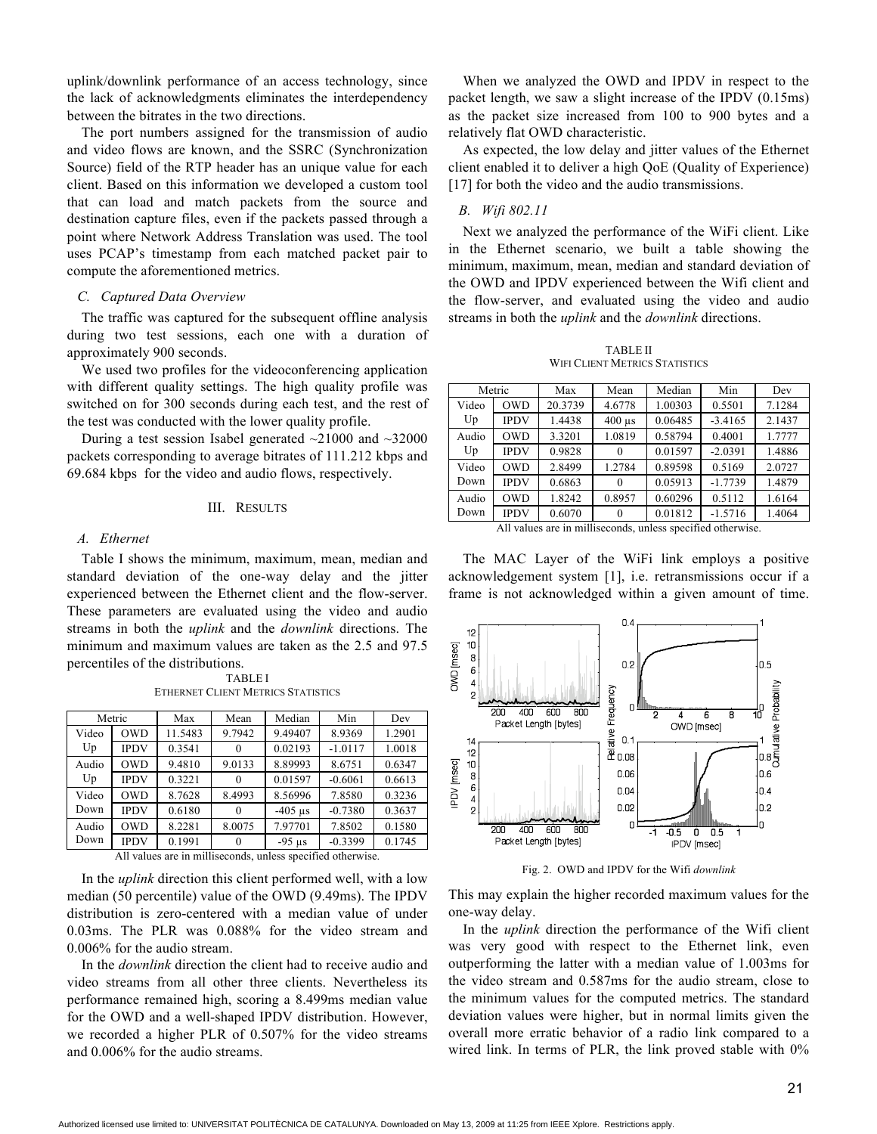uplink/downlink performance of an access technology, since the lack of acknowledgments eliminates the interdependency between the bitrates in the two directions.

The port numbers assigned for the transmission of audio and video flows are known, and the SSRC (Synchronization Source) field of the RTP header has an unique value for each client. Based on this information we developed a custom tool that can load and match packets from the source and destination capture files, even if the packets passed through a point where Network Address Translation was used. The tool uses PCAP's timestamp from each matched packet pair to compute the aforementioned metrics.

## *C. Captured Data Overview*

The traffic was captured for the subsequent offline analysis during two test sessions, each one with a duration of approximately 900 seconds.

We used two profiles for the videoconferencing application with different quality settings. The high quality profile was switched on for 300 seconds during each test, and the rest of the test was conducted with the lower quality profile.

During a test session Isabel generated  $\sim$ 21000 and  $\sim$ 32000 packets corresponding to average bitrates of 111.212 kbps and 69.684 kbps for the video and audio flows, respectively.

## III. RESULTS

#### *A. Ethernet*

Table I shows the minimum, maximum, mean, median and standard deviation of the one-way delay and the jitter experienced between the Ethernet client and the flow-server. These parameters are evaluated using the video and audio streams in both the *uplink* and the *downlink* directions. The minimum and maximum values are taken as the 2.5 and 97.5 percentiles of the distributions.

> TABLE I ETHERNET CLIENT METRICS STATISTICS

| Metric                                                     |             | Max     | Mean     | Median    | Min       | Dev    |
|------------------------------------------------------------|-------------|---------|----------|-----------|-----------|--------|
| Video<br>Up                                                | <b>OWD</b>  | 11.5483 | 9.7942   | 9.49407   | 8.9369    | 1.2901 |
|                                                            | <b>IPDV</b> | 0.3541  |          | 0.02193   | $-1.0117$ | 1.0018 |
| Audio<br>Up                                                | <b>OWD</b>  | 9.4810  | 9.0133   | 8.89993   | 8.6751    | 0.6347 |
|                                                            | <b>IPDV</b> | 0.3221  |          | 0.01597   | $-0.6061$ | 0.6613 |
| Video<br>Down                                              | <b>OWD</b>  | 8.7628  | 8.4993   | 8.56996   | 7.8580    | 0.3236 |
|                                                            | <b>IPDV</b> | 0.6180  |          | $-405$ us | $-0.7380$ | 0.3637 |
| Audio<br>Down                                              | <b>OWD</b>  | 8.2281  | 8.0075   | 7.97701   | 7.8502    | 0.1580 |
|                                                            | <b>IPDV</b> | 0.1991  | $\Omega$ | $-95$ us  | $-0.3399$ | 0.1745 |
| All volves are in milliseconde, vulges specified etherwise |             |         |          |           |           |        |

All values are in milliseconds, unless specified otherwise.

In the *uplink* direction this client performed well, with a low median (50 percentile) value of the OWD (9.49ms). The IPDV distribution is zero-centered with a median value of under 0.03ms. The PLR was 0.088% for the video stream and 0.006% for the audio stream.

In the *downlink* direction the client had to receive audio and video streams from all other three clients. Nevertheless its performance remained high, scoring a 8.499ms median value for the OWD and a well-shaped IPDV distribution. However, we recorded a higher PLR of 0.507% for the video streams and 0.006% for the audio streams.

When we analyzed the OWD and IPDV in respect to the packet length, we saw a slight increase of the IPDV (0.15ms) as the packet size increased from 100 to 900 bytes and a relatively flat OWD characteristic.

As expected, the low delay and jitter values of the Ethernet client enabled it to deliver a high QoE (Quality of Experience) [17] for both the video and the audio transmissions.

## *B. Wifi 802.11*

Next we analyzed the performance of the WiFi client. Like in the Ethernet scenario, we built a table showing the minimum, maximum, mean, median and standard deviation of the OWD and IPDV experienced between the Wifi client and the flow-server, and evaluated using the video and audio streams in both the *uplink* and the *downlink* directions.

TABLE II WIFI CLIENT METRICS STATISTICS

| Metric                                                     |             | Max     | Mean                      | Median  | Min       | Dev    |
|------------------------------------------------------------|-------------|---------|---------------------------|---------|-----------|--------|
| Video<br>Up                                                | <b>OWD</b>  | 20.3739 | 4.6778                    | 1.00303 | 0.5501    | 7.1284 |
|                                                            | <b>IPDV</b> | 1.4438  | $400 \text{ }\mu\text{s}$ | 0.06485 | $-3.4165$ | 2.1437 |
| Audio<br>Up                                                | <b>OWD</b>  | 3.3201  | 1.0819                    | 0.58794 | 0.4001    | 1.7777 |
|                                                            | <b>IPDV</b> | 0.9828  | $\Omega$                  | 0.01597 | $-2.0391$ | 1.4886 |
| Video<br>Down                                              | <b>OWD</b>  | 2.8499  | 1.2784                    | 0.89598 | 0.5169    | 2.0727 |
|                                                            | <b>IPDV</b> | 0.6863  | $\Omega$                  | 0.05913 | $-1.7739$ | 1.4879 |
| Audio<br>Down                                              | <b>OWD</b>  | 1.8242  | 0.8957                    | 0.60296 | 0.5112    | 1.6164 |
|                                                            | <b>IPDV</b> | 0.6070  | $\theta$                  | 0.01812 | $-1.5716$ | 1.4064 |
| All values are in milliseconds, unless specified otherwise |             |         |                           |         |           |        |

All values are in milliseconds, unless specified otherwise.

The MAC Layer of the WiFi link employs a positive acknowledgement system [1], i.e. retransmissions occur if a frame is not acknowledged within a given amount of time.



Fig. 2. OWD and IPDV for the Wifi *downlink*

This may explain the higher recorded maximum values for the one-way delay.

In the *uplink* direction the performance of the Wifi client was very good with respect to the Ethernet link, even outperforming the latter with a median value of 1.003ms for the video stream and 0.587ms for the audio stream, close to the minimum values for the computed metrics. The standard deviation values were higher, but in normal limits given the overall more erratic behavior of a radio link compared to a wired link. In terms of PLR, the link proved stable with 0%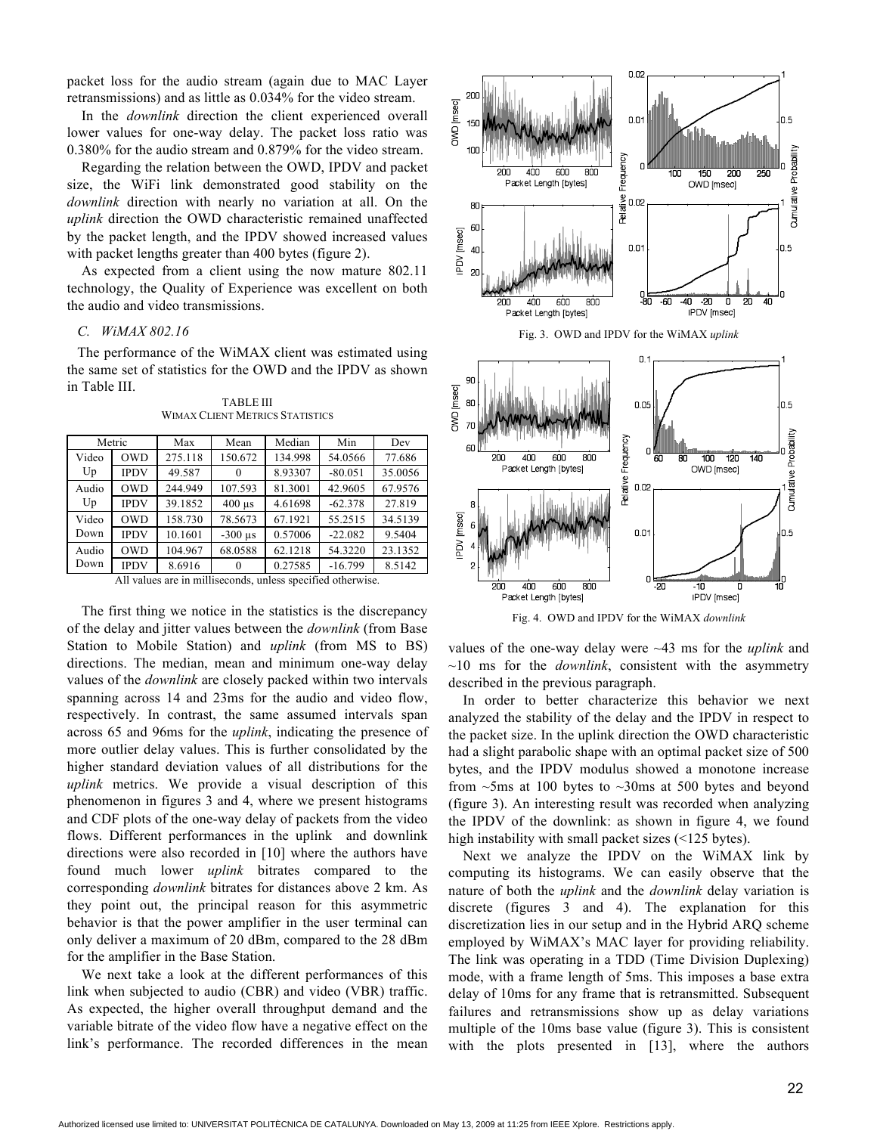packet loss for the audio stream (again due to MAC Layer retransmissions) and as little as 0.034% for the video stream.

In the *downlink* direction the client experienced overall lower values for one-way delay. The packet loss ratio was 0.380% for the audio stream and 0.879% for the video stream.

Regarding the relation between the OWD, IPDV and packet size, the WiFi link demonstrated good stability on the *downlink* direction with nearly no variation at all. On the *uplink* direction the OWD characteristic remained unaffected by the packet length, and the IPDV showed increased values with packet lengths greater than 400 bytes (figure 2).

As expected from a client using the now mature 802.11 technology, the Quality of Experience was excellent on both the audio and video transmissions.

# *C. WiMAX 802.16*

The performance of the WiMAX client was estimated using the same set of statistics for the OWD and the IPDV as shown in Table III.

|             | Max     | Mean      | Median  | Min       | Dev     |
|-------------|---------|-----------|---------|-----------|---------|
| <b>OWD</b>  | 275.118 | 150.672   | 134.998 | 54.0566   | 77.686  |
| <b>IPDV</b> | 49.587  | $\theta$  | 8.93307 | $-80.051$ | 35.0056 |
| <b>OWD</b>  | 244.949 | 107.593   | 81.3001 | 42.9605   | 67.9576 |
| <b>IPDV</b> | 39.1852 | $400$ us  | 4.61698 | $-62.378$ | 27.819  |
| <b>OWD</b>  | 158.730 | 78.5673   | 67.1921 | 55.2515   | 34.5139 |
| <b>IPDV</b> | 10.1601 | $-300$ us | 0.57006 | $-22.082$ | 9.5404  |
| <b>OWD</b>  | 104.967 | 68.0588   | 62.1218 | 54.3220   | 23.1352 |
| <b>IPDV</b> | 8.6916  | $\theta$  | 0.27585 | $-16.799$ | 8.5142  |
|             | Metric  |           |         |           |         |

TABLE III WIMAX CLIENT METRICS STATISTICS

All values are in milliseconds, unless specified otherwise.

The first thing we notice in the statistics is the discrepancy of the delay and jitter values between the *downlink* (from Base Station to Mobile Station) and *uplink* (from MS to BS) directions. The median, mean and minimum one-way delay values of the *downlink* are closely packed within two intervals spanning across 14 and 23ms for the audio and video flow, respectively. In contrast, the same assumed intervals span across 65 and 96ms for the *uplink*, indicating the presence of more outlier delay values. This is further consolidated by the higher standard deviation values of all distributions for the *uplink* metrics. We provide a visual description of this phenomenon in figures 3 and 4, where we present histograms and CDF plots of the one-way delay of packets from the video flows. Different performances in the uplink and downlink directions were also recorded in [10] where the authors have found much lower *uplink* bitrates compared to the corresponding *downlink* bitrates for distances above 2 km. As they point out, the principal reason for this asymmetric behavior is that the power amplifier in the user terminal can only deliver a maximum of 20 dBm, compared to the 28 dBm for the amplifier in the Base Station.

We next take a look at the different performances of this link when subjected to audio (CBR) and video (VBR) traffic. As expected, the higher overall throughput demand and the variable bitrate of the video flow have a negative effect on the link's performance. The recorded differences in the mean



values of the one-way delay were ~43 ms for the *uplink* and  $\sim$ 10 ms for the *downlink*, consistent with the asymmetry described in the previous paragraph.

Fig. 4. OWD and IPDV for the WiMAX *downlink*

400

Packet Length [bytes]

600

800

 $0.01$ 

-10

**IPDV** Imsect

In order to better characterize this behavior we next analyzed the stability of the delay and the IPDV in respect to the packet size. In the uplink direction the OWD characteristic had a slight parabolic shape with an optimal packet size of 500 bytes, and the IPDV modulus showed a monotone increase from  $\sim$ 5ms at 100 bytes to  $\sim$ 30ms at 500 bytes and beyond (figure 3). An interesting result was recorded when analyzing the IPDV of the downlink: as shown in figure 4, we found high instability with small packet sizes (<125 bytes).

Next we analyze the IPDV on the WiMAX link by computing its histograms. We can easily observe that the nature of both the *uplink* and the *downlink* delay variation is discrete (figures 3 and 4). The explanation for this discretization lies in our setup and in the Hybrid ARQ scheme employed by WiMAX's MAC layer for providing reliability. The link was operating in a TDD (Time Division Duplexing) mode, with a frame length of 5ms. This imposes a base extra delay of 10ms for any frame that is retransmitted. Subsequent failures and retransmissions show up as delay variations multiple of the 10ms base value (figure 3). This is consistent with the plots presented in [13], where the authors

 $0.5$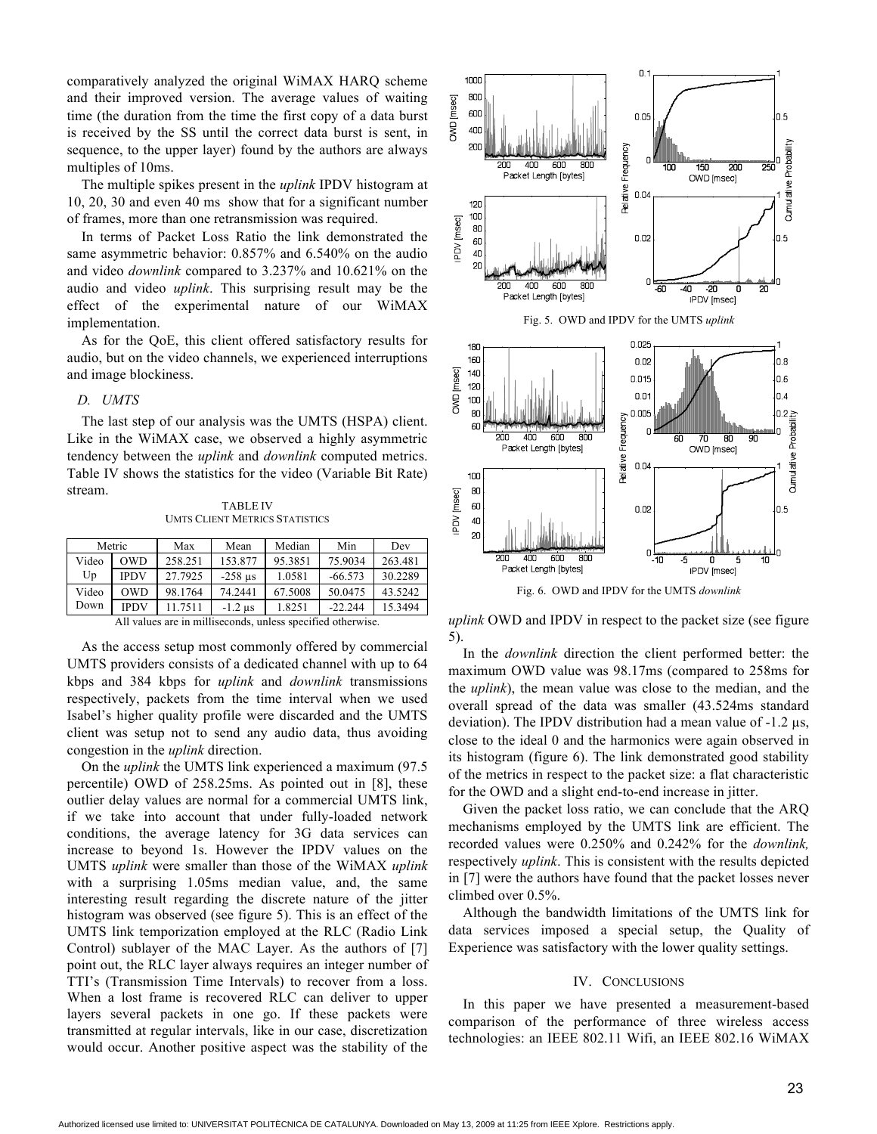comparatively analyzed the original WiMAX HARQ scheme and their improved version. The average values of waiting time (the duration from the time the first copy of a data burst is received by the SS until the correct data burst is sent, in sequence, to the upper layer) found by the authors are always multiples of 10ms.

The multiple spikes present in the *uplink* IPDV histogram at 10, 20, 30 and even 40 ms show that for a significant number of frames, more than one retransmission was required.

In terms of Packet Loss Ratio the link demonstrated the same asymmetric behavior: 0.857% and 6.540% on the audio and video *downlink* compared to 3.237% and 10.621% on the audio and video *uplink*. This surprising result may be the effect of the experimental nature of our WiMAX implementation.

As for the QoE, this client offered satisfactory results for audio, but on the video channels, we experienced interruptions and image blockiness.

# *D. UMTS*

The last step of our analysis was the UMTS (HSPA) client. Like in the WiMAX case, we observed a highly asymmetric tendency between the *uplink* and *downlink* computed metrics. Table IV shows the statistics for the video (Variable Bit Rate) stream.

TABLE IV UMTS CLIENT METRICS STATISTICS

| Metric                                                    |             | Max     | Mean      | Median  | Min       | Dev     |
|-----------------------------------------------------------|-------------|---------|-----------|---------|-----------|---------|
| Video                                                     | <b>OWD</b>  | 258.251 | 153.877   | 95.3851 | 75.9034   | 263.481 |
| Up                                                        | <b>IPDV</b> | 27.7925 | $-258$ us | 1.0581  | $-66.573$ | 30.2289 |
| Video                                                     | OWD         | 98.1764 | 74.2441   | 67.5008 | 50.0475   | 43.5242 |
| Down                                                      | <b>IPDV</b> | 11.7511 | $-1.2$ us | 1.8251  | $-22.244$ | 15.3494 |
| .11.<br>$\sim$ $\sim$ $\sim$ $\sim$ $\sim$ $\sim$<br>4.11 |             |         |           |         |           |         |

All values are in milliseconds, unless specified otherwise.

As the access setup most commonly offered by commercial UMTS providers consists of a dedicated channel with up to 64 kbps and 384 kbps for *uplink* and *downlink* transmissions respectively, packets from the time interval when we used Isabel's higher quality profile were discarded and the UMTS client was setup not to send any audio data, thus avoiding congestion in the *uplink* direction.

On the *uplink* the UMTS link experienced a maximum (97.5 percentile) OWD of 258.25ms. As pointed out in [8], these outlier delay values are normal for a commercial UMTS link, if we take into account that under fully-loaded network conditions, the average latency for 3G data services can increase to beyond 1s. However the IPDV values on the UMTS *uplink* were smaller than those of the WiMAX *uplink* with a surprising 1.05ms median value, and, the same interesting result regarding the discrete nature of the jitter histogram was observed (see figure 5). This is an effect of the UMTS link temporization employed at the RLC (Radio Link Control) sublayer of the MAC Layer. As the authors of [7] point out, the RLC layer always requires an integer number of TTI's (Transmission Time Intervals) to recover from a loss. When a lost frame is recovered RLC can deliver to upper layers several packets in one go. If these packets were transmitted at regular intervals, like in our case, discretization would occur. Another positive aspect was the stability of the



Fig. 6. OWD and IPDV for the UMTS *downlink*

*uplink* OWD and IPDV in respect to the packet size (see figure 5).

In the *downlink* direction the client performed better: the maximum OWD value was 98.17ms (compared to 258ms for the *uplink*), the mean value was close to the median, and the overall spread of the data was smaller (43.524ms standard deviation). The IPDV distribution had a mean value of -1.2 µs, close to the ideal 0 and the harmonics were again observed in its histogram (figure 6). The link demonstrated good stability of the metrics in respect to the packet size: a flat characteristic for the OWD and a slight end-to-end increase in jitter.

Given the packet loss ratio, we can conclude that the ARQ mechanisms employed by the UMTS link are efficient. The recorded values were 0.250% and 0.242% for the *downlink,*  respectively *uplink*. This is consistent with the results depicted in [7] were the authors have found that the packet losses never climbed over 0.5%.

Although the bandwidth limitations of the UMTS link for data services imposed a special setup, the Quality of Experience was satisfactory with the lower quality settings.

# IV. CONCLUSIONS

In this paper we have presented a measurement-based comparison of the performance of three wireless access technologies: an IEEE 802.11 Wifi, an IEEE 802.16 WiMAX